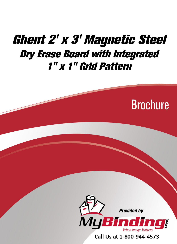# [Ghent 2' x 3' Magnetic Steel](https://www.mybinding.com/ghent-magnetic-steel-dry-erase-boards-with-integrated-1-x-1-grid-pattern.html?sku=GRPM321G-23)  Dry Erase Board with Integrated 1" x 1" Grid Pattern





Call Us at 1-800-944-4573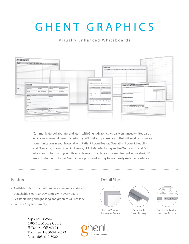# GHENT GRAPHICS

# Visually Enhanced Whiteboards



Communicate, collaborate, and learn with Ghent Graphics, visually enhanced whiteboards. Available in seven different offerings, you'll find a dry erase board that will work to promote communication in your hospital with Patient Room Boards, Operating Room Scheduling and Operating Room Time Out boards; LEAN Manufacturing and In/Out boards; and Grid whiteboards for use in your office or classroom. Each board comes framed in our sleek, 1/4" smooth aluminum frame. Graphics are produced in gray to seamlessly match any interior.

- Available in both magnetic and non-magnetic surfaces
- Detachable SmartPak tray comes with every board
- Resists staining and ghosting and graphics will not fade
- Carries a 10-year warranty

# Features **Detail Shot**



Sleek, ¼" Smooth Aluminum Frame







Graphic Embedded into the Surface

[MyBinding.com](http://www.mybinding.com) 5500 NE Moore Court Hillsboro, OR 97124 Toll Free: 1-800-944-4573 Local: 503-640-5920

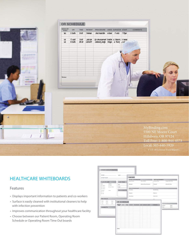

# HEALTHCARE WHITEBOARDS

### **Features**

- Displays important information to patients and co-workers
- Surface is easily cleaned with institutional cleaners to help with infection prevention
- Improves communication throughout your healthcare facility
- Choose between our Patient Room, Operating Room Schedule or Operating Room Time Out boards

|                                                      | ROOMS: DATE:         |                 |                     |                                           |                 |                     |
|------------------------------------------------------|----------------------|-----------------|---------------------|-------------------------------------------|-----------------|---------------------|
| PATIENT NAME:                                        |                      | <b>TIME OUT</b> |                     |                                           |                 |                     |
|                                                      |                      |                 | PATIENT INFORMATION |                                           | TIME MANAGEMENT |                     |
| PLAN OF CARE:                                        | <b>CARE TEAM:</b>    | Patient Name:   |                     | Oate of Birth:                            | In-Room Time:   | Surgery Start Time: |
| Artivity:<br>Diet:<br>C Pagutar<br>$\Box$ Walk       | POL                  | Aforgles:       |                     | Medical Report Number:                    | Timeout         | Room-Out Time:      |
| $\Box$ Up is thair.<br>C Diabete :<br>$\Box$ Cardiac | CNA:                 |                 | PRE-OP CHECKLIST    |                                           |                 |                     |
| Fall Risk:<br>Texture.<br><b>D</b> Low               | <b>DISCHARGE DAY</b> | Procedure:      |                     |                                           | Site Marking:   |                     |
| O Hot                                                |                      | Surgeon:        |                     |                                           | Fluids In:      |                     |
|                                                      |                      | Annuthesia:     |                     |                                           | Finida Out:     |                     |
| PAIN SCALE:                                          |                      | ASA:            |                     |                                           | ent.            |                     |
| ☺<br>☺<br>అ<br>$-9.6$<br>bit.                        | <b>OR SCHEDULE</b>   |                 |                     |                                           |                 | $\equiv$            |
| <b>Auto Fring</b><br><b>THE THEFT</b><br>PARKELPER   | SEEN BY<br>on        |                 |                     | TIME PATIENT PROCEDURE ANES SURGEON STAFF | <b>COMMERTS</b> | (eaches)<br>Hypo:   |
| COMMENTS:                                            |                      |                 |                     |                                           |                 | Other:<br>Hade:     |
|                                                      |                      |                 |                     |                                           |                 |                     |
|                                                      |                      |                 |                     |                                           |                 |                     |
|                                                      |                      |                 |                     |                                           |                 |                     |
|                                                      |                      |                 |                     |                                           |                 |                     |
|                                                      |                      |                 |                     |                                           |                 |                     |
|                                                      |                      |                 |                     |                                           |                 |                     |
|                                                      |                      |                 |                     |                                           |                 |                     |
|                                                      |                      |                 |                     |                                           |                 |                     |
|                                                      |                      |                 |                     |                                           |                 |                     |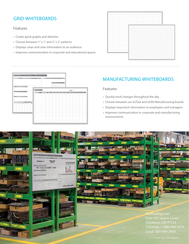# GRID WHITEBOARDS

## **Features**

- Create quick graphs and sketches
- Choose between 1" x 1" and 2" x 2" patterns
- Displays clean and clear information to an audience
- Improves communication in corporate and educational spaces



# **LEAN MANUFACTURING PROGRESS** IN AND OUT DATE NAME

# MANUFACTURING WHITEBOARDS

## Features

- Quickly track changes throughout the day
- Choose between our In/Out and LEAN Manufacturing boards
- Displays important information to employees and managers
- Improves communication in corporate and manufacturing environments